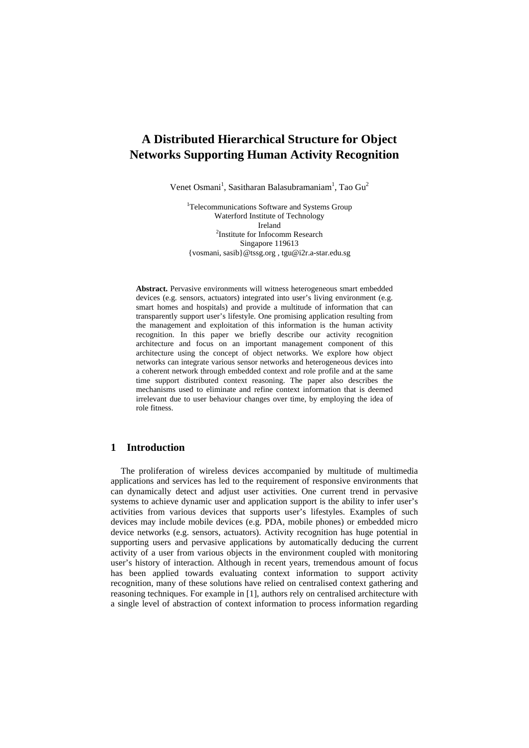# **A Distributed Hierarchical Structure for Object Networks Supporting Human Activity Recognition**

Venet Osmani<sup>1</sup>, Sasitharan Balasubramaniam<sup>1</sup>, Tao Gu<sup>2</sup>

<sup>1</sup>Telecommunications Software and Systems Group Waterford Institute of Technology Ireland<br><sup>2</sup>Institute for Infocomm Research Singapore 119613 {vosmani, sasib}@tssg.org , tgu@i2r.a-star.edu.sg

**Abstract.** Pervasive environments will witness heterogeneous smart embedded devices (e.g. sensors, actuators) integrated into user's living environment (e.g. smart homes and hospitals) and provide a multitude of information that can transparently support user's lifestyle. One promising application resulting from the management and exploitation of this information is the human activity recognition. In this paper we briefly describe our activity recognition architecture and focus on an important management component of this architecture using the concept of object networks. We explore how object networks can integrate various sensor networks and heterogeneous devices into a coherent network through embedded context and role profile and at the same time support distributed context reasoning. The paper also describes the mechanisms used to eliminate and refine context information that is deemed irrelevant due to user behaviour changes over time, by employing the idea of role fitness.

## **1 Introduction**

The proliferation of wireless devices accompanied by multitude of multimedia applications and services has led to the requirement of responsive environments that can dynamically detect and adjust user activities. One current trend in pervasive systems to achieve dynamic user and application support is the ability to infer user's activities from various devices that supports user's lifestyles. Examples of such devices may include mobile devices (e.g. PDA, mobile phones) or embedded micro device networks (e.g. sensors, actuators). Activity recognition has huge potential in supporting users and pervasive applications by automatically deducing the current activity of a user from various objects in the environment coupled with monitoring user's history of interaction. Although in recent years, tremendous amount of focus has been applied towards evaluating context information to support activity recognition, many of these solutions have relied on centralised context gathering and reasoning techniques. For example in [1], authors rely on centralised architecture with a single level of abstraction of context information to process information regarding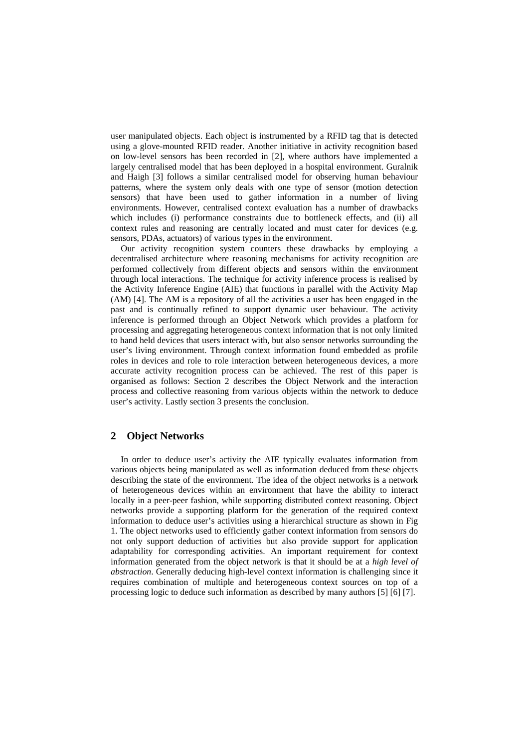user manipulated objects. Each object is instrumented by a RFID tag that is detected using a glove-mounted RFID reader. Another initiative in activity recognition based on low-level sensors has been recorded in [2], where authors have implemented a largely centralised model that has been deployed in a hospital environment. Guralnik and Haigh [3] follows a similar centralised model for observing human behaviour patterns, where the system only deals with one type of sensor (motion detection sensors) that have been used to gather information in a number of living environments. However, centralised context evaluation has a number of drawbacks which includes (i) performance constraints due to bottleneck effects, and (ii) all context rules and reasoning are centrally located and must cater for devices (e.g. sensors, PDAs, actuators) of various types in the environment.

Our activity recognition system counters these drawbacks by employing a decentralised architecture where reasoning mechanisms for activity recognition are performed collectively from different objects and sensors within the environment through local interactions. The technique for activity inference process is realised by the Activity Inference Engine (AIE) that functions in parallel with the Activity Map (AM) [4]. The AM is a repository of all the activities a user has been engaged in the past and is continually refined to support dynamic user behaviour. The activity inference is performed through an Object Network which provides a platform for processing and aggregating heterogeneous context information that is not only limited to hand held devices that users interact with, but also sensor networks surrounding the user's living environment. Through context information found embedded as profile roles in devices and role to role interaction between heterogeneous devices, a more accurate activity recognition process can be achieved. The rest of this paper is organised as follows: Section 2 describes the Object Network and the interaction process and collective reasoning from various objects within the network to deduce user's activity. Lastly section 3 presents the conclusion.

#### **2 Object Networks**

In order to deduce user's activity the AIE typically evaluates information from various objects being manipulated as well as information deduced from these objects describing the state of the environment. The idea of the object networks is a network of heterogeneous devices within an environment that have the ability to interact locally in a peer-peer fashion, while supporting distributed context reasoning. Object networks provide a supporting platform for the generation of the required context information to deduce user's activities using a hierarchical structure as shown in Fig 1. The object networks used to efficiently gather context information from sensors do not only support deduction of activities but also provide support for application adaptability for corresponding activities. An important requirement for context information generated from the object network is that it should be at a *high level of abstraction*. Generally deducing high-level context information is challenging since it requires combination of multiple and heterogeneous context sources on top of a processing logic to deduce such information as described by many authors [5] [6] [7].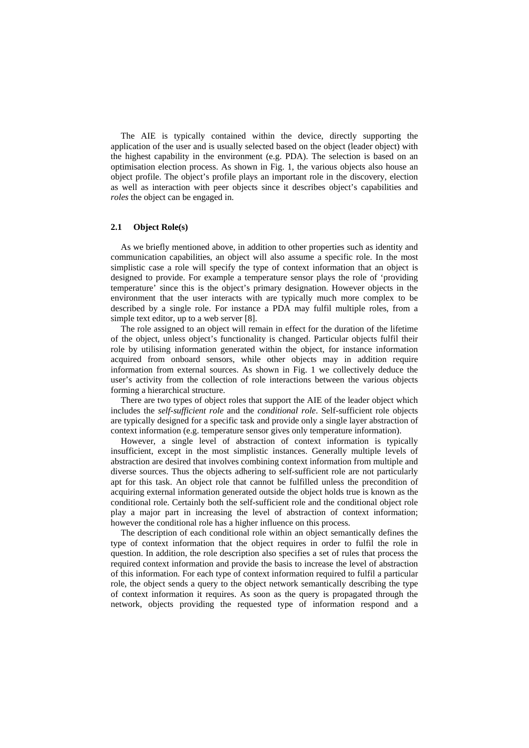The AIE is typically contained within the device, directly supporting the application of the user and is usually selected based on the object (leader object) with the highest capability in the environment (e.g. PDA). The selection is based on an optimisation election process. As shown in Fig. 1, the various objects also house an object profile. The object's profile plays an important role in the discovery, election as well as interaction with peer objects since it describes object's capabilities and *roles* the object can be engaged in.

### **2.1 Object Role(s)**

As we briefly mentioned above, in addition to other properties such as identity and communication capabilities, an object will also assume a specific role. In the most simplistic case a role will specify the type of context information that an object is designed to provide. For example a temperature sensor plays the role of 'providing temperature' since this is the object's primary designation. However objects in the environment that the user interacts with are typically much more complex to be described by a single role. For instance a PDA may fulfil multiple roles, from a simple text editor, up to a web server [8].

The role assigned to an object will remain in effect for the duration of the lifetime of the object, unless object's functionality is changed. Particular objects fulfil their role by utilising information generated within the object, for instance information acquired from onboard sensors, while other objects may in addition require information from external sources. As shown in Fig. 1 we collectively deduce the user's activity from the collection of role interactions between the various objects forming a hierarchical structure.

There are two types of object roles that support the AIE of the leader object which includes the *self-sufficient role* and the *conditional role*. Self-sufficient role objects are typically designed for a specific task and provide only a single layer abstraction of context information (e.g. temperature sensor gives only temperature information).

However, a single level of abstraction of context information is typically insufficient, except in the most simplistic instances. Generally multiple levels of abstraction are desired that involves combining context information from multiple and diverse sources. Thus the objects adhering to self-sufficient role are not particularly apt for this task. An object role that cannot be fulfilled unless the precondition of acquiring external information generated outside the object holds true is known as the conditional role. Certainly both the self-sufficient role and the conditional object role play a major part in increasing the level of abstraction of context information; however the conditional role has a higher influence on this process.

The description of each conditional role within an object semantically defines the type of context information that the object requires in order to fulfil the role in question. In addition, the role description also specifies a set of rules that process the required context information and provide the basis to increase the level of abstraction of this information. For each type of context information required to fulfil a particular role, the object sends a query to the object network semantically describing the type of context information it requires. As soon as the query is propagated through the network, objects providing the requested type of information respond and a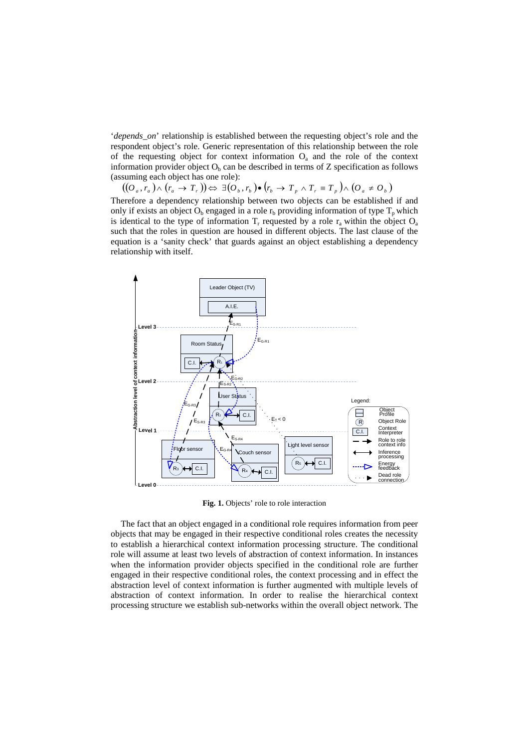'*depends\_on*' relationship is established between the requesting object's role and the respondent object's role. Generic representation of this relationship between the role of the requesting object for context information  $O<sub>a</sub>$  and the role of the context information provider object  $O<sub>b</sub>$  can be described in terms of Z specification as follows (assuming each object has one role):

 $((O_a, r_a) \wedge (r_a \rightarrow T_r)) \Leftrightarrow \exists (O_b, r_b) \bullet (r_b \rightarrow T_p \wedge T_r \equiv T_p) \wedge (O_a \neq O_b)$ 

Therefore a dependency relationship between two objects can be established if and only if exists an object  $O_b$  engaged in a role  $r_b$  providing information of type  $T_p$  which is identical to the type of information  $T_r$  requested by a role  $r_a$  within the object  $O_a$ such that the roles in question are housed in different objects. The last clause of the equation is a 'sanity check' that guards against an object establishing a dependency relationship with itself.



Fig. 1. Objects' role to role interaction

The fact that an object engaged in a conditional role requires information from peer objects that may be engaged in their respective conditional roles creates the necessity to establish a hierarchical context information processing structure. The conditional role will assume at least two levels of abstraction of context information. In instances when the information provider objects specified in the conditional role are further engaged in their respective conditional roles, the context processing and in effect the abstraction level of context information is further augmented with multiple levels of abstraction of context information. In order to realise the hierarchical context processing structure we establish sub-networks within the overall object network. The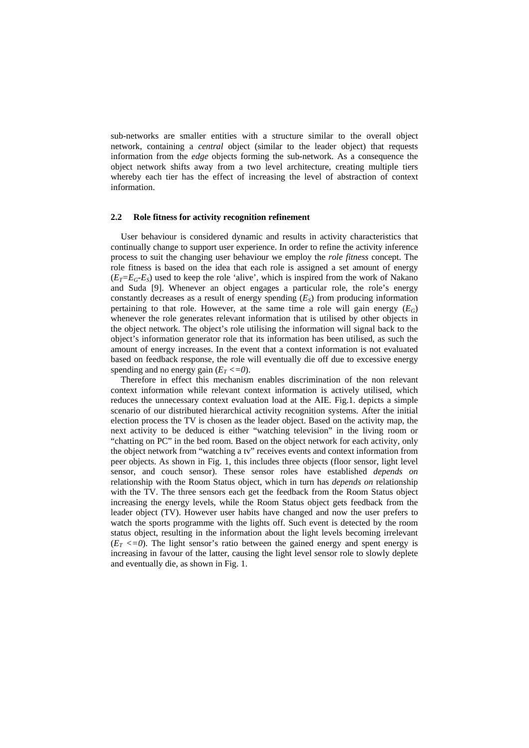sub-networks are smaller entities with a structure similar to the overall object network, containing a *central* object (similar to the leader object) that requests information from the *edge* objects forming the sub-network. As a consequence the object network shifts away from a two level architecture, creating multiple tiers whereby each tier has the effect of increasing the level of abstraction of context information.

#### **2.2 Role fitness for activity recognition refinement**

User behaviour is considered dynamic and results in activity characteristics that continually change to support user experience. In order to refine the activity inference process to suit the changing user behaviour we employ the *role fitness* concept. The role fitness is based on the idea that each role is assigned a set amount of energy  $(E_T=E_G-E_S)$  used to keep the role 'alive', which is inspired from the work of Nakano and Suda [9]. Whenever an object engages a particular role, the role's energy constantly decreases as a result of energy spending  $(E<sub>S</sub>)$  from producing information pertaining to that role. However, at the same time a role will gain energy  $(E_G)$ whenever the role generates relevant information that is utilised by other objects in the object network. The object's role utilising the information will signal back to the object's information generator role that its information has been utilised, as such the amount of energy increases. In the event that a context information is not evaluated based on feedback response, the role will eventually die off due to excessive energy spending and no energy gain  $(E_T \langle =0 \rangle)$ .

Therefore in effect this mechanism enables discrimination of the non relevant context information while relevant context information is actively utilised, which reduces the unnecessary context evaluation load at the AIE. Fig.1. depicts a simple scenario of our distributed hierarchical activity recognition systems. After the initial election process the TV is chosen as the leader object. Based on the activity map, the next activity to be deduced is either "watching television" in the living room or "chatting on PC" in the bed room. Based on the object network for each activity, only the object network from "watching a tv" receives events and context information from peer objects. As shown in Fig. 1, this includes three objects (floor sensor, light level sensor, and couch sensor). These sensor roles have established *depends on* relationship with the Room Status object, which in turn has *depends on* relationship with the TV. The three sensors each get the feedback from the Room Status object increasing the energy levels, while the Room Status object gets feedback from the leader object (TV). However user habits have changed and now the user prefers to watch the sports programme with the lights off. Such event is detected by the room status object, resulting in the information about the light levels becoming irrelevant  $(E_T \leq 0)$ . The light sensor's ratio between the gained energy and spent energy is increasing in favour of the latter, causing the light level sensor role to slowly deplete and eventually die, as shown in Fig. 1.